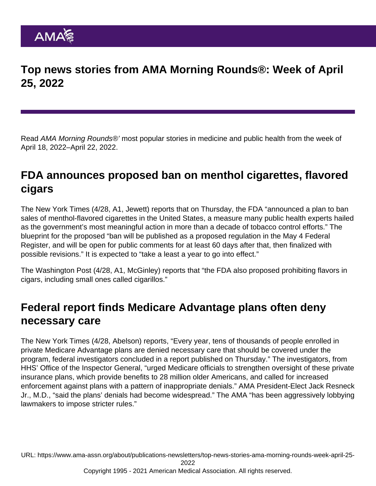## Top news stories from AMA Morning Rounds®: Week of April 25, 2022

Read AMA Morning Rounds®' most popular stories in medicine and public health from the week of April 18, 2022–April 22, 2022.

## FDA announces proposed ban on menthol cigarettes, flavored cigars

The [New York Times](https://www.nytimes.com/2022/04/28/health/menthol-ban-fda.html) (4/28, A1, Jewett) reports that on Thursday, the FDA "announced a plan to ban sales of menthol-flavored cigarettes in the United States, a measure many public health experts hailed as the government's most meaningful action in more than a decade of tobacco control efforts." The blueprint for the proposed "ban will be published as a proposed regulation in the May 4 Federal Register, and will be open for public comments for at least 60 days after that, then finalized with possible revisions." It is expected to "take a least a year to go into effect."

The [Washington Post](https://www.washingtonpost.com/health/2022/04/28/fda-menthol-ban/) (4/28, A1, McGinley) reports that "the FDA also proposed prohibiting flavors in cigars, including small ones called cigarillos."

## Federal report finds Medicare Advantage plans often deny necessary care

The [New York Times](https://www.nytimes.com/2022/04/28/health/medicare-advantage-plans-report.html) (4/28, Abelson) reports, "Every year, tens of thousands of people enrolled in private Medicare Advantage plans are denied necessary care that should be covered under the program, federal investigators concluded in a [report](https://oig.hhs.gov/oei/reports/OEI-09-18-00260.pdf) published on Thursday." The investigators, from HHS' Office of the Inspector General, "urged Medicare officials to strengthen oversight of these private insurance plans, which provide benefits to 28 million older Americans, and called for increased enforcement against plans with a pattern of inappropriate denials." AMA President-Elect Jack Resneck Jr., M.D., "said the plans' denials had become widespread." The AMA "has been aggressively lobbying lawmakers to impose stricter rules."

URL: [https://www.ama-assn.org/about/publications-newsletters/top-news-stories-ama-morning-rounds-week-april-25-](https://www.ama-assn.org/about/publications-newsletters/top-news-stories-ama-morning-rounds-week-april-25-2022)

[2022](https://www.ama-assn.org/about/publications-newsletters/top-news-stories-ama-morning-rounds-week-april-25-2022)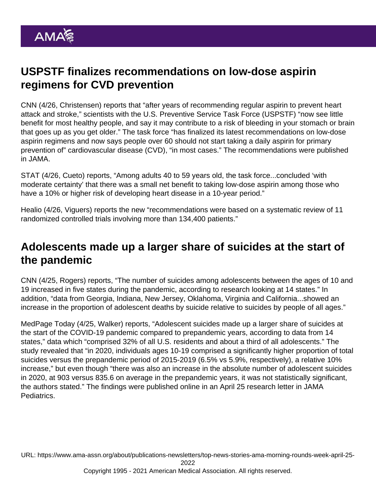# USPSTF finalizes recommendations on low-dose aspirin regimens for CVD prevention

[CNN](https://us.cnn.com/2022/04/26/health/aspirin-heart-health-recommendations-wellness/index.html) (4/26, Christensen) reports that "after years of recommending regular aspirin to prevent heart attack and stroke," scientists with the U.S. Preventive Service Task Force (USPSTF) "now see little benefit for most healthy people, and say it may contribute to a risk of bleeding in your stomach or brain that goes up as you get older." The task force "has finalized its latest recommendations on low-dose aspirin regimens and now says people over 60 should not start taking a daily aspirin for primary prevention of" cardiovascular disease (CVD), "in most cases." The [recommendations](https://jamanetwork.com/journals/jama/fullarticle/2791399) were published in JAMA.

[STAT](https://www.statnews.com/2022/04/26/task-force-pares-back-aspirin-preventing-heart-disease/) (4/26, Cueto) reports, "Among adults 40 to 59 years old, the task force...concluded 'with moderate certainty' that there was a small net benefit to taking low-dose aspirin among those who have a 10% or higher risk of developing heart disease in a 10-year period."

[Healio](https://www.healio.com/news/primary-care/20220426/uspstf-finalizes-recommendations-on-initiating-aspirin-for-primary-cvd-prevention) (4/26, Viguers) reports the new "recommendations were based on a systematic review of 11 randomized controlled trials involving more than 134,400 patients."

### Adolescents made up a larger share of suicides at the start of the pandemic

[CNN](https://www.cnn.com/2022/04/25/health/teen-suicide-increase-pandemic-study-wellness/index.html) (4/25, Rogers) reports, "The number of suicides among adolescents between the ages of 10 and 19 increased in five states during the pandemic, according to research looking at 14 states." In addition, "data from Georgia, Indiana, New Jersey, Oklahoma, Virginia and California...showed an increase in the proportion of adolescent deaths by suicide relative to suicides by people of all ages."

[MedPage Today](https://www.medpagetoday.com/psychiatry/depression/98395) (4/25, Walker) reports, "Adolescent suicides made up a larger share of suicides at the start of the COVID-19 pandemic compared to prepandemic years, according to data from 14 states," data which "comprised 32% of all U.S. residents and about a third of all adolescents." The study revealed that "in 2020, individuals ages 10-19 comprised a significantly higher proportion of total suicides versus the prepandemic period of 2015-2019 (6.5% vs 5.9%, respectively), a relative 10% increase," but even though "there was also an increase in the absolute number of adolescent suicides in 2020, at 903 versus 835.6 on average in the prepandemic years, it was not statistically significant, the authors stated." The [findings](https://jamanetwork.com/journals/jamapediatrics/fullarticle/2791544) were published online in an April 25 research letter in JAMA Pediatrics.

URL: [https://www.ama-assn.org/about/publications-newsletters/top-news-stories-ama-morning-rounds-week-april-25-](https://www.ama-assn.org/about/publications-newsletters/top-news-stories-ama-morning-rounds-week-april-25-2022)

[2022](https://www.ama-assn.org/about/publications-newsletters/top-news-stories-ama-morning-rounds-week-april-25-2022)